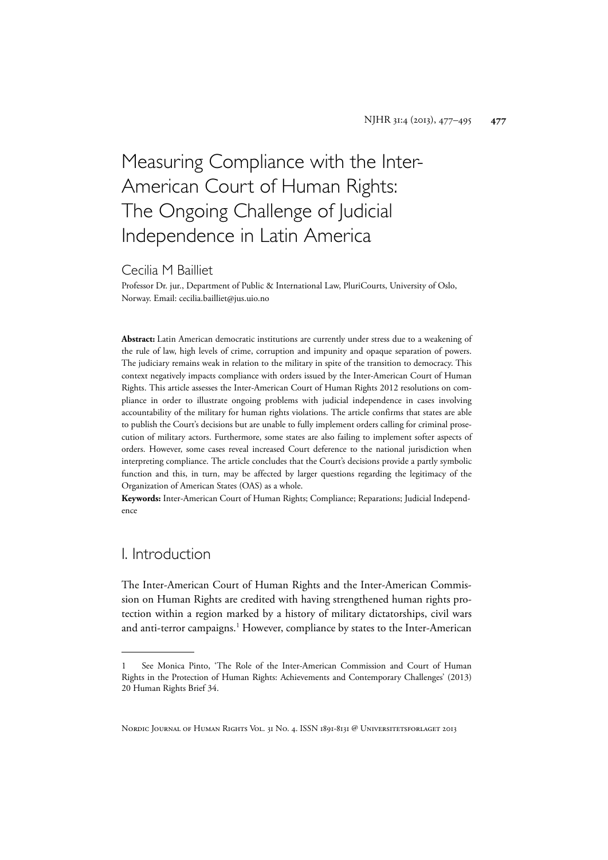# Measuring Compliance with the Inter-American Court of Human Rights: The Ongoing Challenge of Judicial Independence in Latin America

#### Cecilia M Bailliet

Professor Dr. jur., Department of Public & International Law, PluriCourts, University of Oslo, Norway. Email: cecilia.bailliet@jus.uio.no

**Abstract:** Latin American democratic institutions are currently under stress due to a weakening of the rule of law, high levels of crime, corruption and impunity and opaque separation of powers. The judiciary remains weak in relation to the military in spite of the transition to democracy. This context negatively impacts compliance with orders issued by the Inter-American Court of Human Rights. This article assesses the Inter-American Court of Human Rights 2012 resolutions on compliance in order to illustrate ongoing problems with judicial independence in cases involving accountability of the military for human rights violations. The article confirms that states are able to publish the Court's decisions but are unable to fully implement orders calling for criminal prosecution of military actors. Furthermore, some states are also failing to implement softer aspects of orders. However, some cases reveal increased Court deference to the national jurisdiction when interpreting compliance. The article concludes that the Court's decisions provide a partly symbolic function and this, in turn, may be affected by larger questions regarding the legitimacy of the Organization of American States (OAS) as a whole.

**Keywords:** Inter-American Court of Human Rights; Compliance; Reparations; Judicial Independence

## I. Introduction

The Inter-American Court of Human Rights and the Inter-American Commission on Human Rights are credited with having strengthened human rights protection within a region marked by a history of military dictatorships, civil wars and anti-terror campaigns.<sup>1</sup> However, compliance by states to the Inter-American

<sup>1</sup> See Monica Pinto, 'The Role of the Inter-American Commission and Court of Human Rights in the Protection of Human Rights: Achievements and Contemporary Challenges' (2013) 20 Human Rights Brief 34.

NORDIC JOURNAL OF HUMAN RIGHTS VOL. 31 NO. 4. ISSN 1891-8131 @ UNIVERSITETSFORLAGET 2013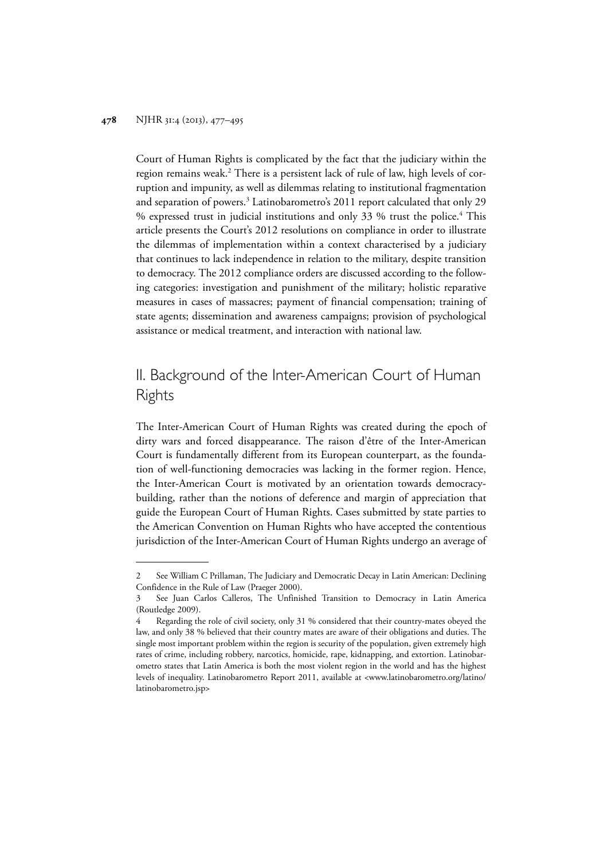Court of Human Rights is complicated by the fact that the judiciary within the region remains weak.<sup>2</sup> There is a persistent lack of rule of law, high levels of corruption and impunity, as well as dilemmas relating to institutional fragmentation and separation of powers.<sup>3</sup> Latinobarometro's 2011 report calculated that only 29 % expressed trust in judicial institutions and only 33 % trust the police.4 This article presents the Court's 2012 resolutions on compliance in order to illustrate the dilemmas of implementation within a context characterised by a judiciary that continues to lack independence in relation to the military, despite transition to democracy. The 2012 compliance orders are discussed according to the following categories: investigation and punishment of the military; holistic reparative measures in cases of massacres; payment of financial compensation; training of state agents; dissemination and awareness campaigns; provision of psychological assistance or medical treatment, and interaction with national law.

# II. Background of the Inter-American Court of Human Rights

The Inter-American Court of Human Rights was created during the epoch of dirty wars and forced disappearance. The raison d'être of the Inter-American Court is fundamentally different from its European counterpart, as the foundation of well-functioning democracies was lacking in the former region. Hence, the Inter-American Court is motivated by an orientation towards democracybuilding, rather than the notions of deference and margin of appreciation that guide the European Court of Human Rights. Cases submitted by state parties to the American Convention on Human Rights who have accepted the contentious jurisdiction of the Inter-American Court of Human Rights undergo an average of

<sup>2</sup> See William C Prillaman, The Judiciary and Democratic Decay in Latin American: Declining Confidence in the Rule of Law (Praeger 2000).

<sup>3</sup> See Juan Carlos Calleros, The Unfinished Transition to Democracy in Latin America (Routledge 2009).

<sup>4</sup> Regarding the role of civil society, only 31 % considered that their country-mates obeyed the law, and only 38 % believed that their country mates are aware of their obligations and duties. The single most important problem within the region is security of the population, given extremely high rates of crime, including robbery, narcotics, homicide, rape, kidnapping, and extortion. Latinobarometro states that Latin America is both the most violent region in the world and has the highest levels of inequality. Latinobarometro Report 2011, available at <www.latinobarometro.org/latino/ latinobarometro.jsp>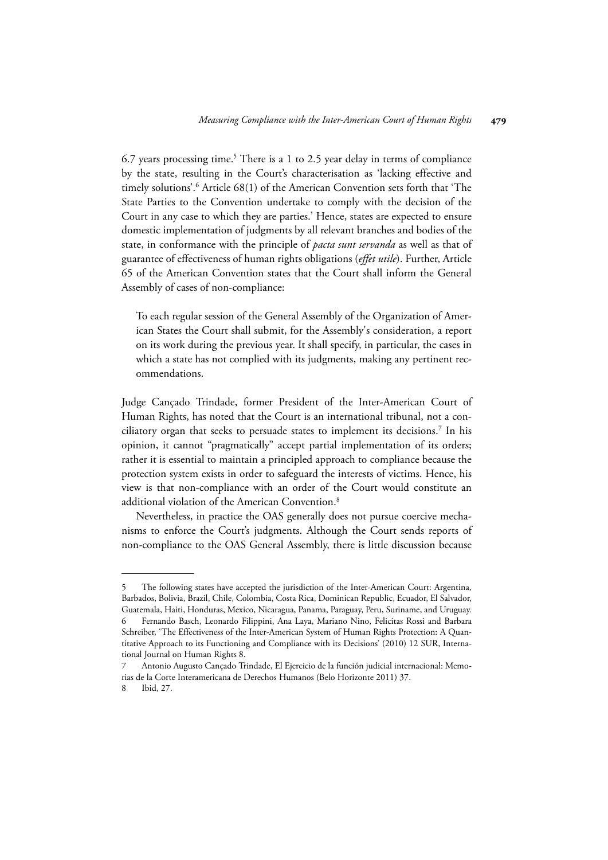6.7 years processing time.<sup>5</sup> There is a 1 to 2.5 year delay in terms of compliance by the state, resulting in the Court's characterisation as 'lacking effective and timely solutions'.6 Article 68(1) of the American Convention sets forth that 'The State Parties to the Convention undertake to comply with the decision of the Court in any case to which they are parties.' Hence, states are expected to ensure domestic implementation of judgments by all relevant branches and bodies of the state, in conformance with the principle of *pacta sunt servanda* as well as that of guarantee of effectiveness of human rights obligations (*effet utile*). Further, Article 65 of the American Convention states that the Court shall inform the General Assembly of cases of non-compliance:

To each regular session of the General Assembly of the Organization of American States the Court shall submit, for the Assembly's consideration, a report on its work during the previous year. It shall specify, in particular, the cases in which a state has not complied with its judgments, making any pertinent recommendations.

Judge Cançado Trindade, former President of the Inter-American Court of Human Rights, has noted that the Court is an international tribunal, not a conciliatory organ that seeks to persuade states to implement its decisions. $^7$  In his opinion, it cannot "pragmatically" accept partial implementation of its orders; rather it is essential to maintain a principled approach to compliance because the protection system exists in order to safeguard the interests of victims. Hence, his view is that non-compliance with an order of the Court would constitute an additional violation of the American Convention.<sup>8</sup>

Nevertheless, in practice the OAS generally does not pursue coercive mechanisms to enforce the Court's judgments. Although the Court sends reports of non-compliance to the OAS General Assembly, there is little discussion because

The following states have accepted the jurisdiction of the Inter-American Court: Argentina, Barbados, Bolivia, Brazil, Chile, Colombia, Costa Rica, Dominican Republic, Ecuador, El Salvador, Guatemala, Haiti, Honduras, Mexico, Nicaragua, Panama, Paraguay, Peru, Suriname, and Uruguay.

<sup>6</sup> Fernando Basch, Leonardo Filippini, Ana Laya, Mariano Nino, Felicitas Rossi and Barbara Schreiber, 'The Effectiveness of the Inter-American System of Human Rights Protection: A Quantitative Approach to its Functioning and Compliance with its Decisions' (2010) 12 SUR, International Journal on Human Rights 8.

<sup>7</sup> Antonio Augusto Cançado Trindade, El Ejercicio de la función judicial internacional: Memorias de la Corte Interamericana de Derechos Humanos (Belo Horizonte 2011) 37.

<sup>8</sup> Ibid, 27.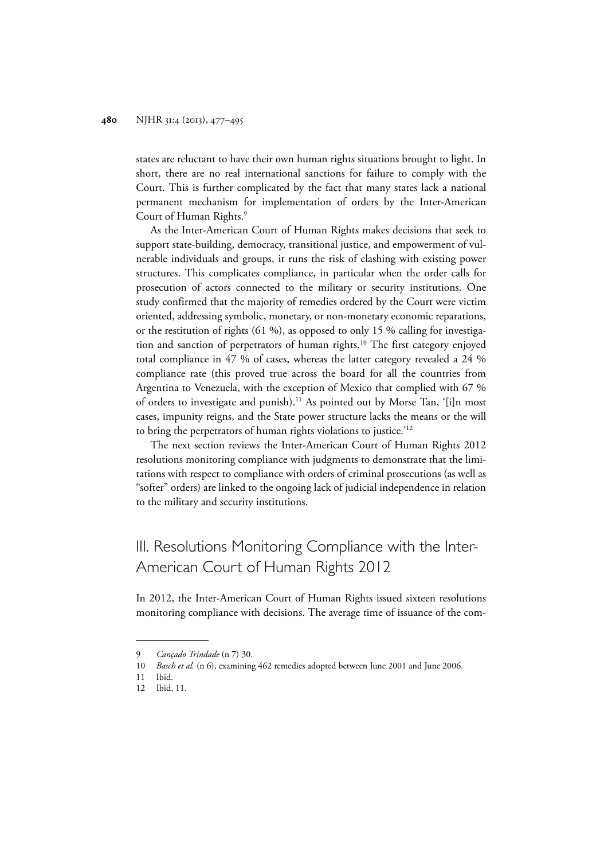states are reluctant to have their own human rights situations brought to light. In short, there are no real international sanctions for failure to comply with the Court. This is further complicated by the fact that many states lack a national permanent mechanism for implementation of orders by the Inter-American Court of Human Rights.9

As the Inter-American Court of Human Rights makes decisions that seek to support state-building, democracy, transitional justice, and empowerment of vulnerable individuals and groups, it runs the risk of clashing with existing power structures. This complicates compliance, in particular when the order calls for prosecution of actors connected to the military or security institutions. One study confirmed that the majority of remedies ordered by the Court were victim oriented, addressing symbolic, monetary, or non-monetary economic reparations, or the restitution of rights (61 %), as opposed to only 15 % calling for investigation and sanction of perpetrators of human rights.<sup>10</sup> The first category enjoyed total compliance in 47 % of cases, whereas the latter category revealed a 24 % compliance rate (this proved true across the board for all the countries from Argentina to Venezuela, with the exception of Mexico that complied with 67 % of orders to investigate and punish).<sup>11</sup> As pointed out by Morse Tan, '[i]n most cases, impunity reigns, and the State power structure lacks the means or the will to bring the perpetrators of human rights violations to justice.'12

The next section reviews the Inter-American Court of Human Rights 2012 resolutions monitoring compliance with judgments to demonstrate that the limitations with respect to compliance with orders of criminal prosecutions (as well as "softer" orders) are linked to the ongoing lack of judicial independence in relation to the military and security institutions.

# III. Resolutions Monitoring Compliance with the Inter-American Court of Human Rights 2012

In 2012, the Inter-American Court of Human Rights issued sixteen resolutions monitoring compliance with decisions. The average time of issuance of the com-

<sup>9</sup> *Cançado Trindade* (n 7) 30.

<sup>10</sup> *Basch et al.* (n 6), examining 462 remedies adopted between June 2001 and June 2006.

<sup>11</sup> Ibid.

<sup>12</sup> Ibid, 11.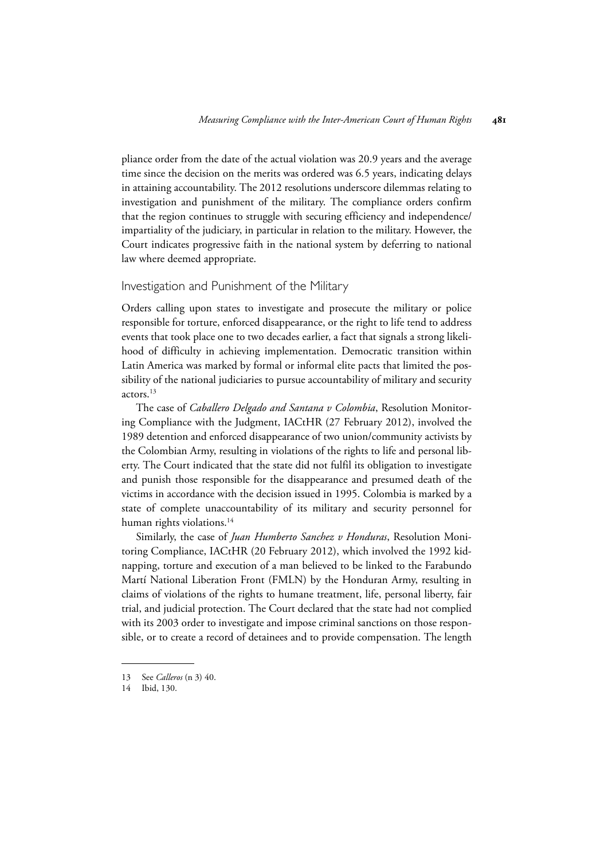pliance order from the date of the actual violation was 20.9 years and the average time since the decision on the merits was ordered was 6.5 years, indicating delays in attaining accountability. The 2012 resolutions underscore dilemmas relating to investigation and punishment of the military. The compliance orders confirm that the region continues to struggle with securing efficiency and independence/ impartiality of the judiciary, in particular in relation to the military. However, the Court indicates progressive faith in the national system by deferring to national law where deemed appropriate.

#### Investigation and Punishment of the Military

Orders calling upon states to investigate and prosecute the military or police responsible for torture, enforced disappearance, or the right to life tend to address events that took place one to two decades earlier, a fact that signals a strong likelihood of difficulty in achieving implementation. Democratic transition within Latin America was marked by formal or informal elite pacts that limited the possibility of the national judiciaries to pursue accountability of military and security actors.13

The case of *Caballero Delgado and Santana v Colombia*, Resolution Monitoring Compliance with the Judgment, IACtHR (27 February 2012), involved the 1989 detention and enforced disappearance of two union/community activists by the Colombian Army, resulting in violations of the rights to life and personal liberty. The Court indicated that the state did not fulfil its obligation to investigate and punish those responsible for the disappearance and presumed death of the victims in accordance with the decision issued in 1995. Colombia is marked by a state of complete unaccountability of its military and security personnel for human rights violations.<sup>14</sup>

Similarly, the case of *Juan Humberto Sanchez v Honduras*, Resolution Monitoring Compliance, IACtHR (20 February 2012), which involved the 1992 kidnapping, torture and execution of a man believed to be linked to the Farabundo Martí National Liberation Front (FMLN) by the Honduran Army, resulting in claims of violations of the rights to humane treatment, life, personal liberty, fair trial, and judicial protection. The Court declared that the state had not complied with its 2003 order to investigate and impose criminal sanctions on those responsible, or to create a record of detainees and to provide compensation. The length

<sup>13</sup> See *Calleros* (n 3) 40.

<sup>14</sup> Ibid, 130.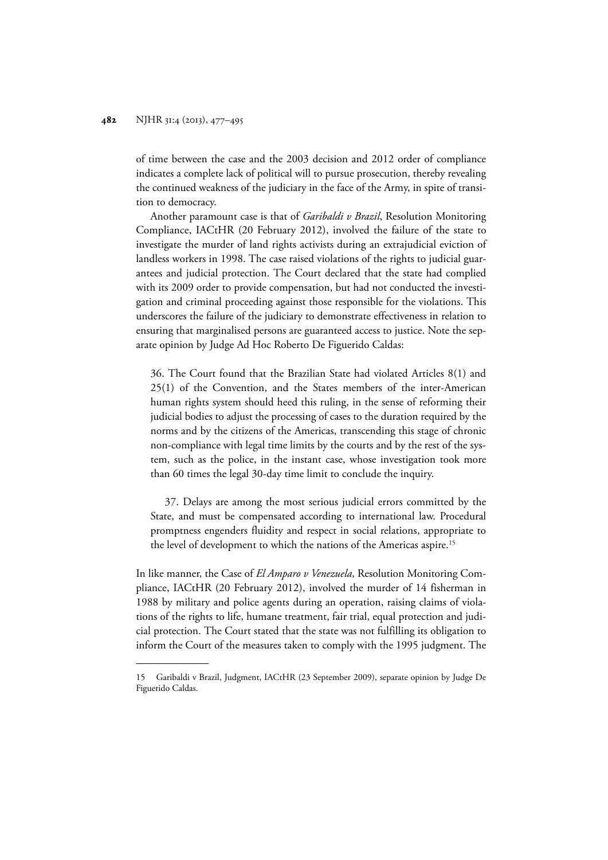of time between the case and the 2003 decision and 2012 order of compliance indicates a complete lack of political will to pursue prosecution, thereby revealing the continued weakness of the judiciary in the face of the Army, in spite of transition to democracy.

Another paramount case is that of *Garibaldi v Brazil*, Resolution Monitoring Compliance, IACtHR (20 February 2012), involved the failure of the state to investigate the murder of land rights activists during an extrajudicial eviction of landless workers in 1998. The case raised violations of the rights to judicial guarantees and judicial protection. The Court declared that the state had complied with its 2009 order to provide compensation, but had not conducted the investigation and criminal proceeding against those responsible for the violations. This underscores the failure of the judiciary to demonstrate effectiveness in relation to ensuring that marginalised persons are guaranteed access to justice. Note the separate opinion by Judge Ad Hoc Roberto De Figuerido Caldas:

36. The Court found that the Brazilian State had violated Articles 8(1) and 25(1) of the Convention, and the States members of the inter-American human rights system should heed this ruling, in the sense of reforming their judicial bodies to adjust the processing of cases to the duration required by the norms and by the citizens of the Americas, transcending this stage of chronic non-compliance with legal time limits by the courts and by the rest of the system, such as the police, in the instant case, whose investigation took more than 60 times the legal 30-day time limit to conclude the inquiry.

37. Delays are among the most serious judicial errors committed by the State, and must be compensated according to international law. Procedural promptness engenders fluidity and respect in social relations, appropriate to the level of development to which the nations of the Americas aspire.<sup>15</sup>

In like manner, the Case of *El Amparo v Venezuela*, Resolution Monitoring Compliance, IACtHR (20 February 2012), involved the murder of 14 fisherman in 1988 by military and police agents during an operation, raising claims of violations of the rights to life, humane treatment, fair trial, equal protection and judicial protection. The Court stated that the state was not fulfilling its obligation to inform the Court of the measures taken to comply with the 1995 judgment. The

<sup>15</sup> Garibaldi v Brazil, Judgment, IACtHR (23 September 2009), separate opinion by Judge De Figuerido Caldas.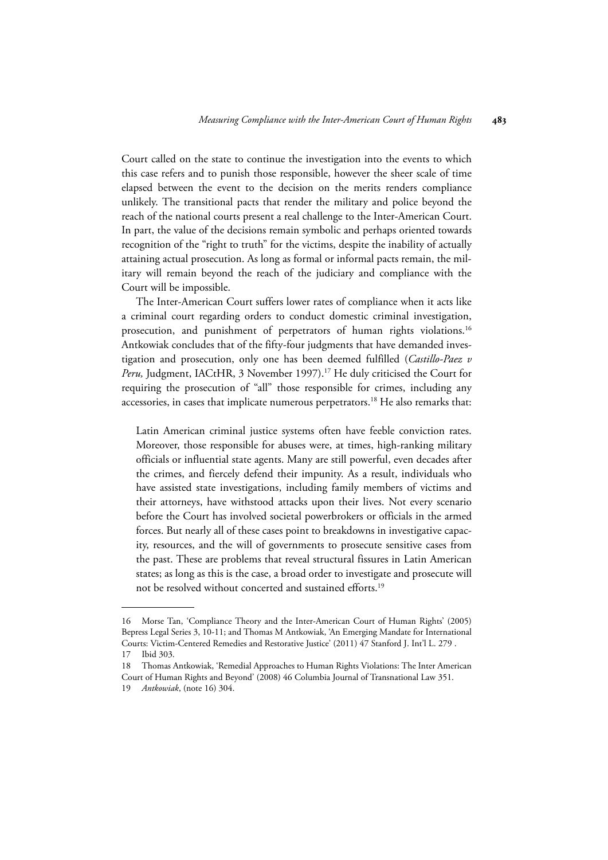Court called on the state to continue the investigation into the events to which this case refers and to punish those responsible, however the sheer scale of time elapsed between the event to the decision on the merits renders compliance unlikely. The transitional pacts that render the military and police beyond the reach of the national courts present a real challenge to the Inter-American Court. In part, the value of the decisions remain symbolic and perhaps oriented towards recognition of the "right to truth" for the victims, despite the inability of actually attaining actual prosecution. As long as formal or informal pacts remain, the military will remain beyond the reach of the judiciary and compliance with the Court will be impossible.

The Inter-American Court suffers lower rates of compliance when it acts like a criminal court regarding orders to conduct domestic criminal investigation, prosecution, and punishment of perpetrators of human rights violations.16 Antkowiak concludes that of the fifty-four judgments that have demanded investigation and prosecution, only one has been deemed fulfilled (*Castillo-Paez v* Peru, Judgment, IACtHR, 3 November 1997).<sup>17</sup> He duly criticised the Court for requiring the prosecution of "all" those responsible for crimes, including any accessories, in cases that implicate numerous perpetrators.<sup>18</sup> He also remarks that:

Latin American criminal justice systems often have feeble conviction rates. Moreover, those responsible for abuses were, at times, high-ranking military officials or influential state agents. Many are still powerful, even decades after the crimes, and fiercely defend their impunity. As a result, individuals who have assisted state investigations, including family members of victims and their attorneys, have withstood attacks upon their lives. Not every scenario before the Court has involved societal powerbrokers or officials in the armed forces. But nearly all of these cases point to breakdowns in investigative capacity, resources, and the will of governments to prosecute sensitive cases from the past. These are problems that reveal structural fissures in Latin American states; as long as this is the case, a broad order to investigate and prosecute will not be resolved without concerted and sustained efforts.19

<sup>16</sup> Morse Tan, 'Compliance Theory and the Inter-American Court of Human Rights' (2005) Bepress Legal Series 3, 10-11; and Thomas M Antkowiak, 'An Emerging Mandate for International Courts: Victim-Centered Remedies and Restorative Justice' (2011) 47 Stanford J. Int'l L. 279 . 17 Ibid 303.

<sup>18</sup> Thomas Antkowiak, 'Remedial Approaches to Human Rights Violations: The Inter American Court of Human Rights and Beyond' (2008) 46 Columbia Journal of Transnational Law 351.

<sup>19</sup> *Antkowiak*, (note 16) 304.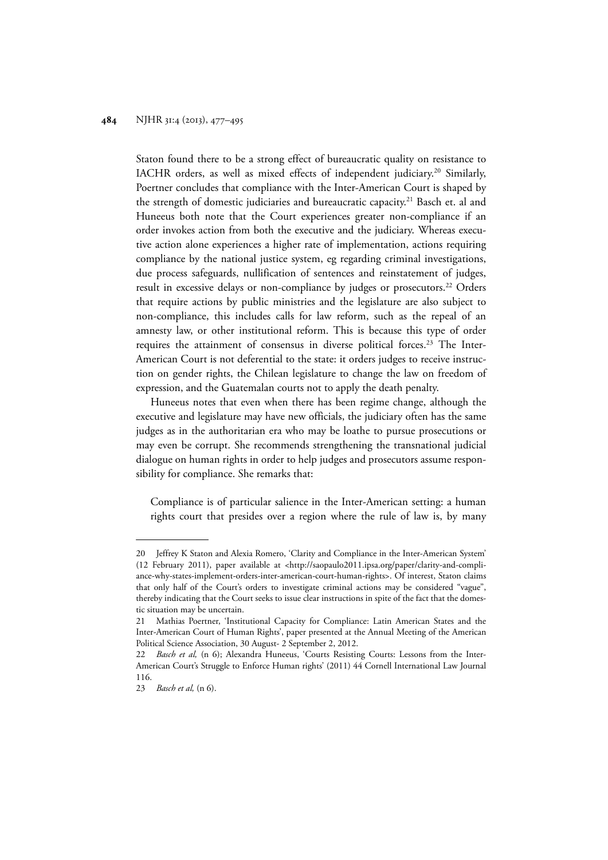Staton found there to be a strong effect of bureaucratic quality on resistance to IACHR orders, as well as mixed effects of independent judiciary.<sup>20</sup> Similarly, Poertner concludes that compliance with the Inter-American Court is shaped by the strength of domestic judiciaries and bureaucratic capacity.<sup>21</sup> Basch et. al and Huneeus both note that the Court experiences greater non-compliance if an order invokes action from both the executive and the judiciary. Whereas executive action alone experiences a higher rate of implementation, actions requiring compliance by the national justice system, eg regarding criminal investigations, due process safeguards, nullification of sentences and reinstatement of judges, result in excessive delays or non-compliance by judges or prosecutors.<sup>22</sup> Orders that require actions by public ministries and the legislature are also subject to non-compliance, this includes calls for law reform, such as the repeal of an amnesty law, or other institutional reform. This is because this type of order requires the attainment of consensus in diverse political forces.<sup>23</sup> The Inter-American Court is not deferential to the state: it orders judges to receive instruction on gender rights, the Chilean legislature to change the law on freedom of expression, and the Guatemalan courts not to apply the death penalty.

Huneeus notes that even when there has been regime change, although the executive and legislature may have new officials, the judiciary often has the same judges as in the authoritarian era who may be loathe to pursue prosecutions or may even be corrupt. She recommends strengthening the transnational judicial dialogue on human rights in order to help judges and prosecutors assume responsibility for compliance. She remarks that:

Compliance is of particular salience in the Inter-American setting: a human rights court that presides over a region where the rule of law is, by many

<sup>20</sup> Jeffrey K Staton and Alexia Romero, 'Clarity and Compliance in the Inter-American System' (12 February 2011), paper available at <http://saopaulo2011.ipsa.org/paper/clarity-and-compliance-why-states-implement-orders-inter-american-court-human-rights>. Of interest, Staton claims that only half of the Court's orders to investigate criminal actions may be considered "vague", thereby indicating that the Court seeks to issue clear instructions in spite of the fact that the domestic situation may be uncertain.

<sup>21</sup> Mathias Poertner, 'Institutional Capacity for Compliance: Latin American States and the Inter-American Court of Human Rights', paper presented at the Annual Meeting of the American Political Science Association, 30 August- 2 September 2, 2012.

<sup>22</sup> *Basch et al,* (n 6); Alexandra Huneeus, 'Courts Resisting Courts: Lessons from the Inter-American Court's Struggle to Enforce Human rights' (2011) 44 Cornell International Law Journal 116.

<sup>23</sup> *Basch et al,* (n 6).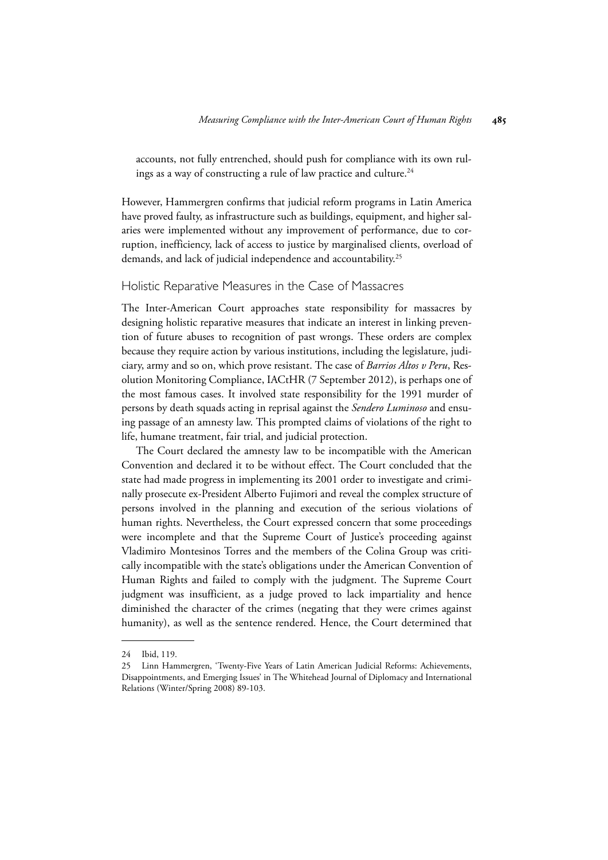accounts, not fully entrenched, should push for compliance with its own rulings as a way of constructing a rule of law practice and culture.<sup>24</sup>

However, Hammergren confirms that judicial reform programs in Latin America have proved faulty, as infrastructure such as buildings, equipment, and higher salaries were implemented without any improvement of performance, due to corruption, inefficiency, lack of access to justice by marginalised clients, overload of demands, and lack of judicial independence and accountability.<sup>25</sup>

#### Holistic Reparative Measures in the Case of Massacres

The Inter-American Court approaches state responsibility for massacres by designing holistic reparative measures that indicate an interest in linking prevention of future abuses to recognition of past wrongs. These orders are complex because they require action by various institutions, including the legislature, judiciary, army and so on, which prove resistant. The case of *Barrios Altos v Peru*, Resolution Monitoring Compliance, IACtHR (7 September 2012), is perhaps one of the most famous cases. It involved state responsibility for the 1991 murder of persons by death squads acting in reprisal against the *Sendero Luminoso* and ensuing passage of an amnesty law. This prompted claims of violations of the right to life, humane treatment, fair trial, and judicial protection.

The Court declared the amnesty law to be incompatible with the American Convention and declared it to be without effect. The Court concluded that the state had made progress in implementing its 2001 order to investigate and criminally prosecute ex-President Alberto Fujimori and reveal the complex structure of persons involved in the planning and execution of the serious violations of human rights. Nevertheless, the Court expressed concern that some proceedings were incomplete and that the Supreme Court of Justice's proceeding against Vladimiro Montesinos Torres and the members of the Colina Group was critically incompatible with the state's obligations under the American Convention of Human Rights and failed to comply with the judgment. The Supreme Court judgment was insufficient, as a judge proved to lack impartiality and hence diminished the character of the crimes (negating that they were crimes against humanity), as well as the sentence rendered. Hence, the Court determined that

<sup>24</sup> Ibid, 119.

<sup>25</sup> Linn Hammergren, 'Twenty-Five Years of Latin American Judicial Reforms: Achievements, Disappointments, and Emerging Issues' in The Whitehead Journal of Diplomacy and International Relations (Winter/Spring 2008) 89-103.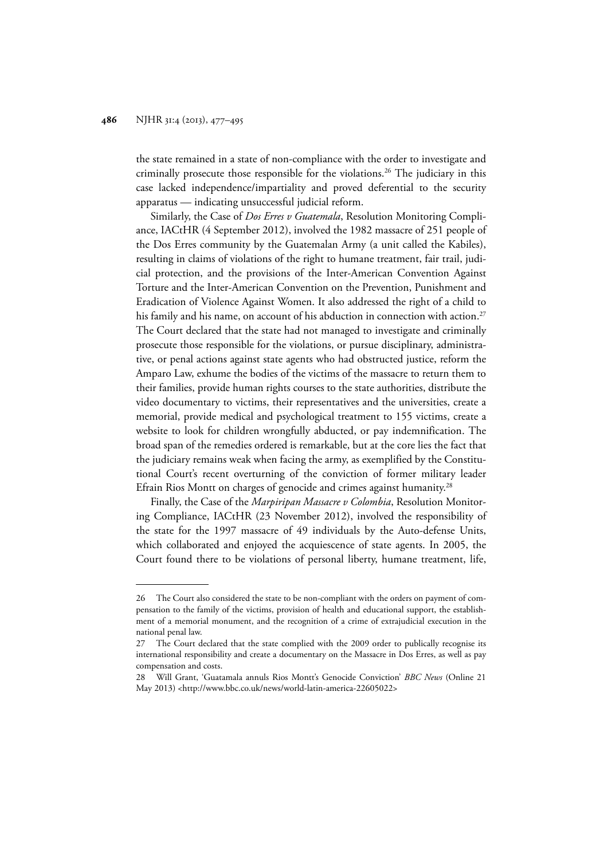the state remained in a state of non-compliance with the order to investigate and criminally prosecute those responsible for the violations.26 The judiciary in this case lacked independence/impartiality and proved deferential to the security apparatus — indicating unsuccessful judicial reform.

Similarly, the Case of *Dos Erres v Guatemala*, Resolution Monitoring Compliance, IACtHR (4 September 2012), involved the 1982 massacre of 251 people of the Dos Erres community by the Guatemalan Army (a unit called the Kabiles), resulting in claims of violations of the right to humane treatment, fair trail, judicial protection, and the provisions of the Inter-American Convention Against Torture and the Inter-American Convention on the Prevention, Punishment and Eradication of Violence Against Women. It also addressed the right of a child to his family and his name, on account of his abduction in connection with action.<sup>27</sup> The Court declared that the state had not managed to investigate and criminally prosecute those responsible for the violations, or pursue disciplinary, administrative, or penal actions against state agents who had obstructed justice, reform the Amparo Law, exhume the bodies of the victims of the massacre to return them to their families, provide human rights courses to the state authorities, distribute the video documentary to victims, their representatives and the universities, create a memorial, provide medical and psychological treatment to 155 victims, create a website to look for children wrongfully abducted, or pay indemnification. The broad span of the remedies ordered is remarkable, but at the core lies the fact that the judiciary remains weak when facing the army, as exemplified by the Constitutional Court's recent overturning of the conviction of former military leader Efrain Rios Montt on charges of genocide and crimes against humanity.<sup>28</sup>

Finally, the Case of the *Marpiripan Massacre v Colombia*, Resolution Monitoring Compliance, IACtHR (23 November 2012), involved the responsibility of the state for the 1997 massacre of 49 individuals by the Auto-defense Units, which collaborated and enjoyed the acquiescence of state agents. In 2005, the Court found there to be violations of personal liberty, humane treatment, life,

<sup>26</sup> The Court also considered the state to be non-compliant with the orders on payment of compensation to the family of the victims, provision of health and educational support, the establishment of a memorial monument, and the recognition of a crime of extrajudicial execution in the national penal law.

<sup>27</sup> The Court declared that the state complied with the 2009 order to publically recognise its international responsibility and create a documentary on the Massacre in Dos Erres, as well as pay compensation and costs.

<sup>28</sup> Will Grant, 'Guatamala annuls Rios Montt's Genocide Conviction' *BBC News* (Online 21 May 2013) <http://www.bbc.co.uk/news/world-latin-america-22605022>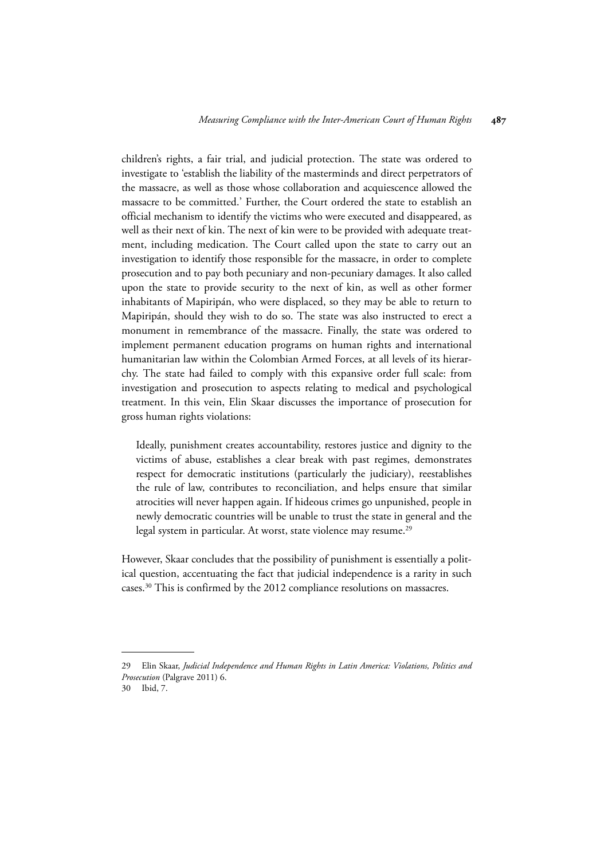children's rights, a fair trial, and judicial protection. The state was ordered to investigate to 'establish the liability of the masterminds and direct perpetrators of the massacre, as well as those whose collaboration and acquiescence allowed the massacre to be committed.' Further, the Court ordered the state to establish an official mechanism to identify the victims who were executed and disappeared, as well as their next of kin. The next of kin were to be provided with adequate treatment, including medication. The Court called upon the state to carry out an investigation to identify those responsible for the massacre, in order to complete prosecution and to pay both pecuniary and non-pecuniary damages. It also called upon the state to provide security to the next of kin, as well as other former inhabitants of Mapiripán, who were displaced, so they may be able to return to Mapiripán, should they wish to do so. The state was also instructed to erect a monument in remembrance of the massacre. Finally, the state was ordered to implement permanent education programs on human rights and international humanitarian law within the Colombian Armed Forces, at all levels of its hierarchy. The state had failed to comply with this expansive order full scale: from investigation and prosecution to aspects relating to medical and psychological treatment. In this vein, Elin Skaar discusses the importance of prosecution for gross human rights violations:

Ideally, punishment creates accountability, restores justice and dignity to the victims of abuse, establishes a clear break with past regimes, demonstrates respect for democratic institutions (particularly the judiciary), reestablishes the rule of law, contributes to reconciliation, and helps ensure that similar atrocities will never happen again. If hideous crimes go unpunished, people in newly democratic countries will be unable to trust the state in general and the legal system in particular. At worst, state violence may resume.<sup>29</sup>

However, Skaar concludes that the possibility of punishment is essentially a political question, accentuating the fact that judicial independence is a rarity in such cases.30 This is confirmed by the 2012 compliance resolutions on massacres.

<sup>29</sup> Elin Skaar, *Judicial Independence and Human Rights in Latin America: Violations, Politics and Prosecution* (Palgrave 2011) 6.

<sup>30</sup> Ibid, 7.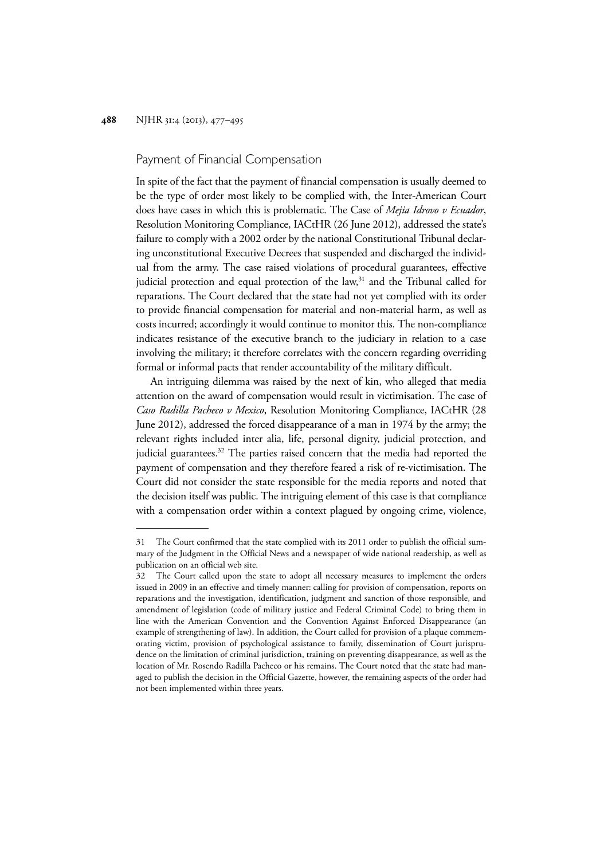#### Payment of Financial Compensation

In spite of the fact that the payment of financial compensation is usually deemed to be the type of order most likely to be complied with, the Inter-American Court does have cases in which this is problematic. The Case of *Mejia Idrovo v Ecuador*, Resolution Monitoring Compliance, IACtHR (26 June 2012), addressed the state's failure to comply with a 2002 order by the national Constitutional Tribunal declaring unconstitutional Executive Decrees that suspended and discharged the individual from the army. The case raised violations of procedural guarantees, effective judicial protection and equal protection of the law,<sup>31</sup> and the Tribunal called for reparations. The Court declared that the state had not yet complied with its order to provide financial compensation for material and non-material harm, as well as costs incurred; accordingly it would continue to monitor this. The non-compliance indicates resistance of the executive branch to the judiciary in relation to a case involving the military; it therefore correlates with the concern regarding overriding formal or informal pacts that render accountability of the military difficult.

An intriguing dilemma was raised by the next of kin, who alleged that media attention on the award of compensation would result in victimisation. The case of *Caso Radilla Pacheco v Mexico*, Resolution Monitoring Compliance, IACtHR (28 June 2012), addressed the forced disappearance of a man in 1974 by the army; the relevant rights included inter alia, life, personal dignity, judicial protection, and judicial guarantees.<sup>32</sup> The parties raised concern that the media had reported the payment of compensation and they therefore feared a risk of re-victimisation. The Court did not consider the state responsible for the media reports and noted that the decision itself was public. The intriguing element of this case is that compliance with a compensation order within a context plagued by ongoing crime, violence,

<sup>31</sup> The Court confirmed that the state complied with its 2011 order to publish the official summary of the Judgment in the Official News and a newspaper of wide national readership, as well as publication on an official web site.

<sup>32</sup> The Court called upon the state to adopt all necessary measures to implement the orders issued in 2009 in an effective and timely manner: calling for provision of compensation, reports on reparations and the investigation, identification, judgment and sanction of those responsible, and amendment of legislation (code of military justice and Federal Criminal Code) to bring them in line with the American Convention and the Convention Against Enforced Disappearance (an example of strengthening of law). In addition, the Court called for provision of a plaque commemorating victim, provision of psychological assistance to family, dissemination of Court jurisprudence on the limitation of criminal jurisdiction, training on preventing disappearance, as well as the location of Mr. Rosendo Radilla Pacheco or his remains. The Court noted that the state had managed to publish the decision in the Official Gazette, however, the remaining aspects of the order had not been implemented within three years.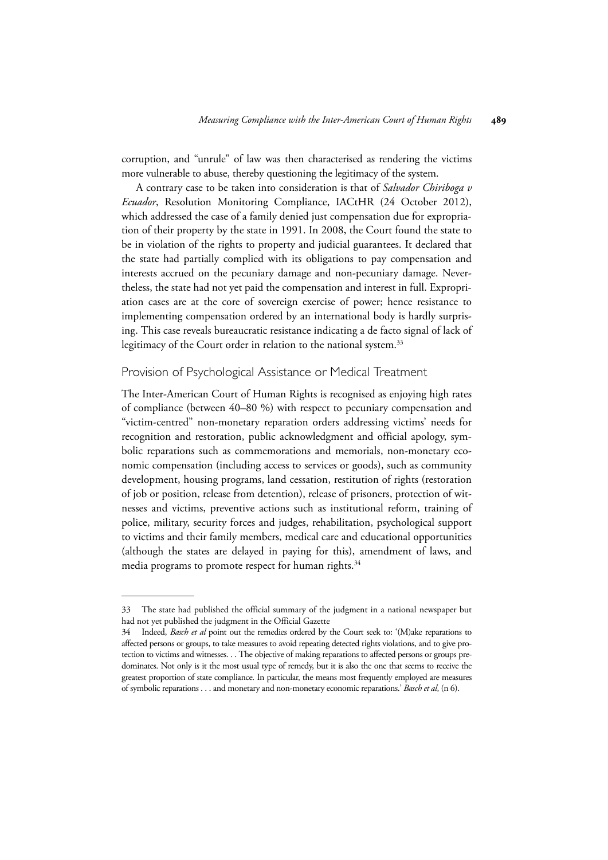corruption, and "unrule" of law was then characterised as rendering the victims more vulnerable to abuse, thereby questioning the legitimacy of the system.

A contrary case to be taken into consideration is that of *Salvador Chiriboga v Ecuador*, Resolution Monitoring Compliance, IACtHR (24 October 2012), which addressed the case of a family denied just compensation due for expropriation of their property by the state in 1991. In 2008, the Court found the state to be in violation of the rights to property and judicial guarantees. It declared that the state had partially complied with its obligations to pay compensation and interests accrued on the pecuniary damage and non-pecuniary damage. Nevertheless, the state had not yet paid the compensation and interest in full. Expropriation cases are at the core of sovereign exercise of power; hence resistance to implementing compensation ordered by an international body is hardly surprising. This case reveals bureaucratic resistance indicating a de facto signal of lack of legitimacy of the Court order in relation to the national system.<sup>33</sup>

#### Provision of Psychological Assistance or Medical Treatment

The Inter-American Court of Human Rights is recognised as enjoying high rates of compliance (between 40–80 %) with respect to pecuniary compensation and "victim-centred" non-monetary reparation orders addressing victims' needs for recognition and restoration, public acknowledgment and official apology, symbolic reparations such as commemorations and memorials, non-monetary economic compensation (including access to services or goods), such as community development, housing programs, land cessation, restitution of rights (restoration of job or position, release from detention), release of prisoners, protection of witnesses and victims, preventive actions such as institutional reform, training of police, military, security forces and judges, rehabilitation, psychological support to victims and their family members, medical care and educational opportunities (although the states are delayed in paying for this), amendment of laws, and media programs to promote respect for human rights.<sup>34</sup>

<sup>33</sup> The state had published the official summary of the judgment in a national newspaper but had not yet published the judgment in the Official Gazette

<sup>34</sup> Indeed, *Basch et al* point out the remedies ordered by the Court seek to: '(M)ake reparations to affected persons or groups, to take measures to avoid repeating detected rights violations, and to give protection to victims and witnesses. . . The objective of making reparations to affected persons or groups predominates. Not only is it the most usual type of remedy, but it is also the one that seems to receive the greatest proportion of state compliance. In particular, the means most frequently employed are measures of symbolic reparations . . . and monetary and non-monetary economic reparations.' *Basch et al*, (n 6).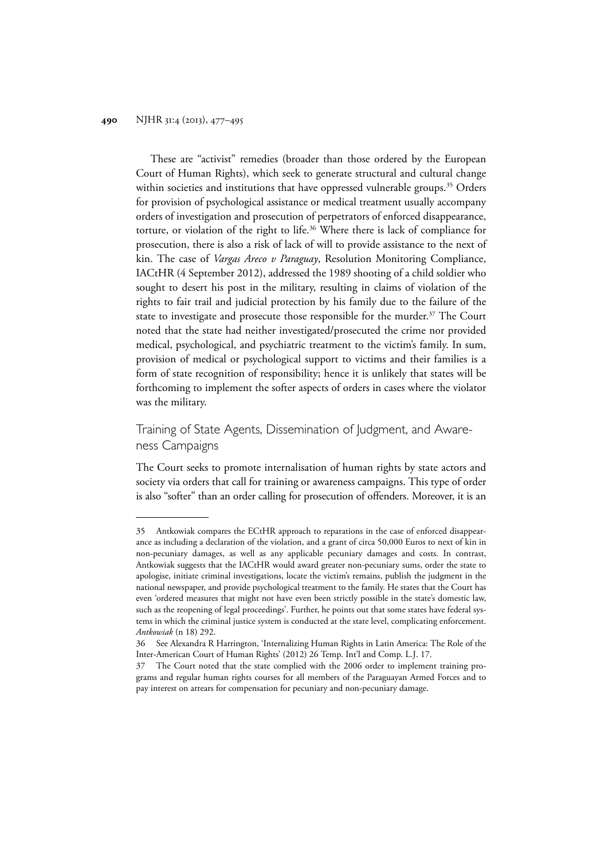These are "activist" remedies (broader than those ordered by the European Court of Human Rights), which seek to generate structural and cultural change within societies and institutions that have oppressed vulnerable groups.<sup>35</sup> Orders for provision of psychological assistance or medical treatment usually accompany orders of investigation and prosecution of perpetrators of enforced disappearance, torture, or violation of the right to life.36 Where there is lack of compliance for prosecution, there is also a risk of lack of will to provide assistance to the next of kin. The case of *Vargas Areco v Paraguay*, Resolution Monitoring Compliance, IACtHR (4 September 2012), addressed the 1989 shooting of a child soldier who sought to desert his post in the military, resulting in claims of violation of the rights to fair trail and judicial protection by his family due to the failure of the state to investigate and prosecute those responsible for the murder.<sup>37</sup> The Court noted that the state had neither investigated/prosecuted the crime nor provided medical, psychological, and psychiatric treatment to the victim's family. In sum, provision of medical or psychological support to victims and their families is a form of state recognition of responsibility; hence it is unlikely that states will be forthcoming to implement the softer aspects of orders in cases where the violator was the military.

### Training of State Agents, Dissemination of Judgment, and Awareness Campaigns

The Court seeks to promote internalisation of human rights by state actors and society via orders that call for training or awareness campaigns. This type of order is also "softer" than an order calling for prosecution of offenders. Moreover, it is an

<sup>35</sup> Antkowiak compares the ECtHR approach to reparations in the case of enforced disappearance as including a declaration of the violation, and a grant of circa 50,000 Euros to next of kin in non-pecuniary damages, as well as any applicable pecuniary damages and costs. In contrast, Antkowiak suggests that the IACtHR would award greater non-pecuniary sums, order the state to apologise, initiate criminal investigations, locate the victim's remains, publish the judgment in the national newspaper, and provide psychological treatment to the family. He states that the Court has even 'ordered measures that might not have even been strictly possible in the state's domestic law, such as the reopening of legal proceedings'. Further, he points out that some states have federal systems in which the criminal justice system is conducted at the state level, complicating enforcement. *Antkowiak* (n 18) 292.

<sup>36</sup> See Alexandra R Harrington, 'Internalizing Human Rights in Latin America: The Role of the Inter-American Court of Human Rights' (2012) 26 Temp. Int'l and Comp. L.J. 17.

<sup>37</sup> The Court noted that the state complied with the 2006 order to implement training programs and regular human rights courses for all members of the Paraguayan Armed Forces and to pay interest on arrears for compensation for pecuniary and non-pecuniary damage.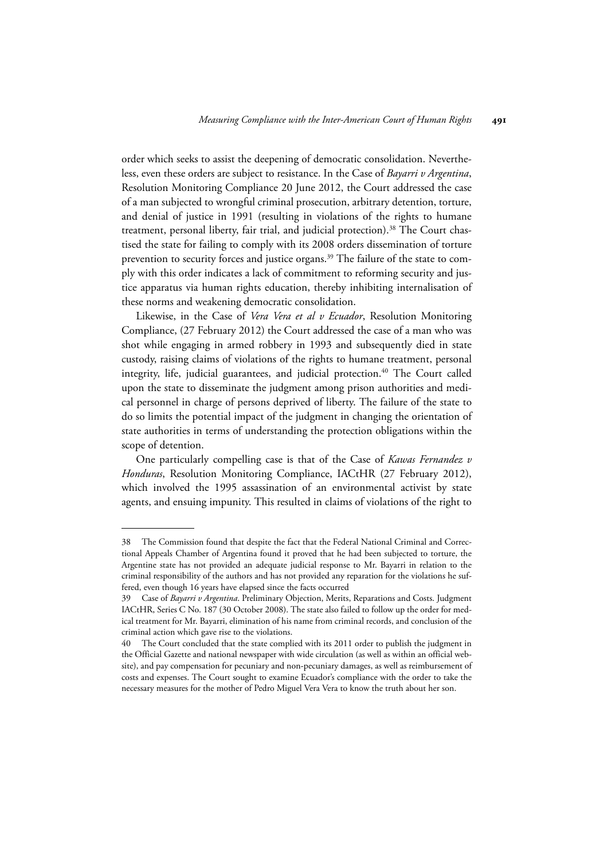order which seeks to assist the deepening of democratic consolidation. Nevertheless, even these orders are subject to resistance. In the Case of *Bayarri v Argentina*, Resolution Monitoring Compliance 20 June 2012, the Court addressed the case of a man subjected to wrongful criminal prosecution, arbitrary detention, torture, and denial of justice in 1991 (resulting in violations of the rights to humane treatment, personal liberty, fair trial, and judicial protection).<sup>38</sup> The Court chastised the state for failing to comply with its 2008 orders dissemination of torture prevention to security forces and justice organs.<sup>39</sup> The failure of the state to comply with this order indicates a lack of commitment to reforming security and justice apparatus via human rights education, thereby inhibiting internalisation of these norms and weakening democratic consolidation.

Likewise, in the Case of *Vera Vera et al v Ecuador*, Resolution Monitoring Compliance, (27 February 2012) the Court addressed the case of a man who was shot while engaging in armed robbery in 1993 and subsequently died in state custody, raising claims of violations of the rights to humane treatment, personal integrity, life, judicial guarantees, and judicial protection.<sup>40</sup> The Court called upon the state to disseminate the judgment among prison authorities and medical personnel in charge of persons deprived of liberty. The failure of the state to do so limits the potential impact of the judgment in changing the orientation of state authorities in terms of understanding the protection obligations within the scope of detention.

One particularly compelling case is that of the Case of *Kawas Fernandez v Honduras*, Resolution Monitoring Compliance, IACtHR (27 February 2012), which involved the 1995 assassination of an environmental activist by state agents, and ensuing impunity. This resulted in claims of violations of the right to

<sup>38</sup> The Commission found that despite the fact that the Federal National Criminal and Correctional Appeals Chamber of Argentina found it proved that he had been subjected to torture, the Argentine state has not provided an adequate judicial response to Mr. Bayarri in relation to the criminal responsibility of the authors and has not provided any reparation for the violations he suffered, even though 16 years have elapsed since the facts occurred

<sup>39</sup> Case of *Bayarri v Argentina*. Preliminary Objection, Merits, Reparations and Costs. Judgment IACtHR, Series C No. 187 (30 October 2008). The state also failed to follow up the order for medical treatment for Mr. Bayarri, elimination of his name from criminal records, and conclusion of the criminal action which gave rise to the violations.

<sup>40</sup> The Court concluded that the state complied with its 2011 order to publish the judgment in the Official Gazette and national newspaper with wide circulation (as well as within an official website), and pay compensation for pecuniary and non-pecuniary damages, as well as reimbursement of costs and expenses. The Court sought to examine Ecuador's compliance with the order to take the necessary measures for the mother of Pedro Miguel Vera Vera to know the truth about her son.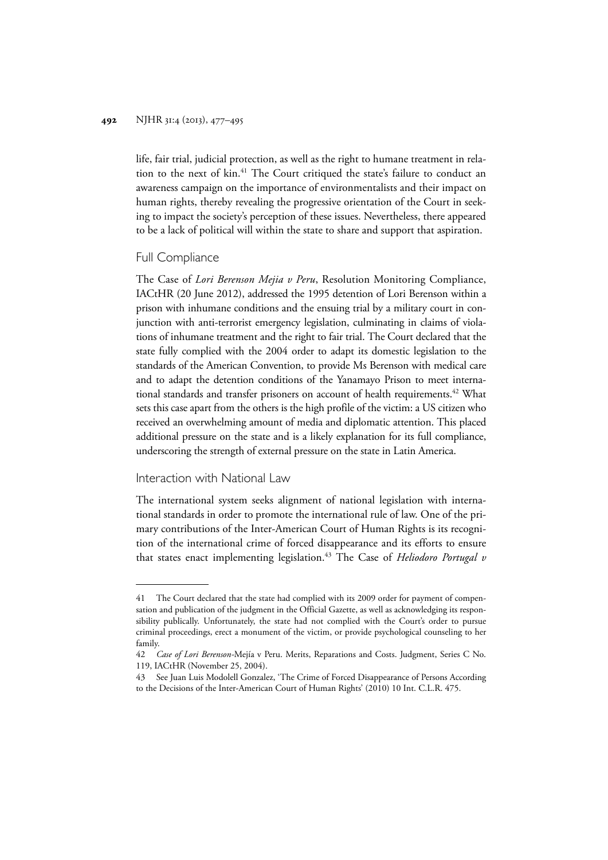life, fair trial, judicial protection, as well as the right to humane treatment in relation to the next of kin.<sup>41</sup> The Court critiqued the state's failure to conduct an awareness campaign on the importance of environmentalists and their impact on human rights, thereby revealing the progressive orientation of the Court in seeking to impact the society's perception of these issues. Nevertheless, there appeared to be a lack of political will within the state to share and support that aspiration.

#### Full Compliance

The Case of *Lori Berenson Mejia v Peru*, Resolution Monitoring Compliance, IACtHR (20 June 2012), addressed the 1995 detention of Lori Berenson within a prison with inhumane conditions and the ensuing trial by a military court in conjunction with anti-terrorist emergency legislation, culminating in claims of violations of inhumane treatment and the right to fair trial. The Court declared that the state fully complied with the 2004 order to adapt its domestic legislation to the standards of the American Convention, to provide Ms Berenson with medical care and to adapt the detention conditions of the Yanamayo Prison to meet international standards and transfer prisoners on account of health requirements.<sup>42</sup> What sets this case apart from the others is the high profile of the victim: a US citizen who received an overwhelming amount of media and diplomatic attention. This placed additional pressure on the state and is a likely explanation for its full compliance, underscoring the strength of external pressure on the state in Latin America.

#### Interaction with National Law

The international system seeks alignment of national legislation with international standards in order to promote the international rule of law. One of the primary contributions of the Inter-American Court of Human Rights is its recognition of the international crime of forced disappearance and its efforts to ensure that states enact implementing legislation.<sup>43</sup> The Case of *Heliodoro Portugal v* 

<sup>41</sup> The Court declared that the state had complied with its 2009 order for payment of compensation and publication of the judgment in the Official Gazette, as well as acknowledging its responsibility publically. Unfortunately, the state had not complied with the Court's order to pursue criminal proceedings, erect a monument of the victim, or provide psychological counseling to her family.

<sup>42</sup> *Case of Lori Berenson-*Mejía v Peru. Merits, Reparations and Costs. Judgment, Series C No. 119, IACtHR (November 25, 2004).

<sup>43</sup> See Juan Luis Modolell Gonzalez, 'The Crime of Forced Disappearance of Persons According to the Decisions of the Inter-American Court of Human Rights' (2010) 10 Int. C.L.R. 475.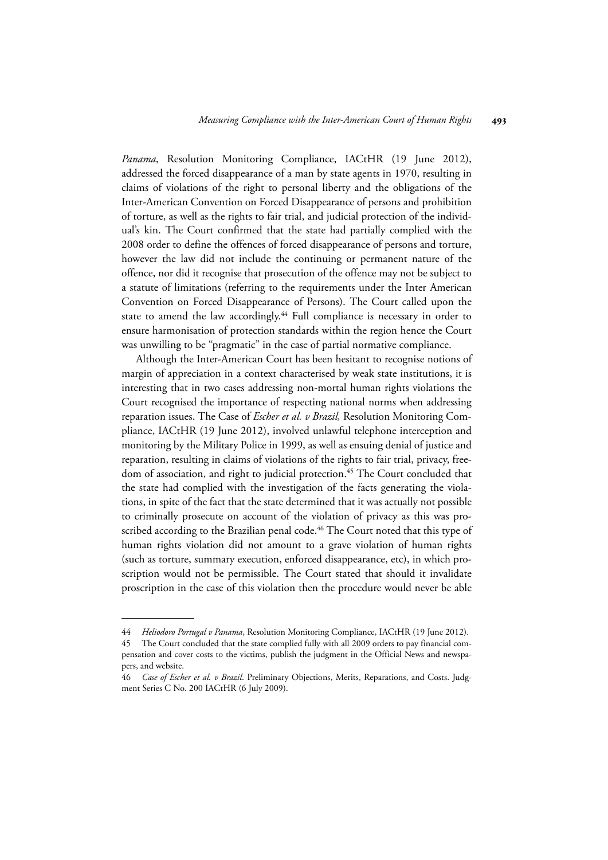Panama, Resolution Monitoring Compliance, IACtHR (19 June 2012), addressed the forced disappearance of a man by state agents in 1970, resulting in claims of violations of the right to personal liberty and the obligations of the Inter-American Convention on Forced Disappearance of persons and prohibition of torture, as well as the rights to fair trial, and judicial protection of the individual's kin. The Court confirmed that the state had partially complied with the 2008 order to define the offences of forced disappearance of persons and torture, however the law did not include the continuing or permanent nature of the offence, nor did it recognise that prosecution of the offence may not be subject to a statute of limitations (referring to the requirements under the Inter American Convention on Forced Disappearance of Persons). The Court called upon the state to amend the law accordingly.<sup>44</sup> Full compliance is necessary in order to ensure harmonisation of protection standards within the region hence the Court was unwilling to be "pragmatic" in the case of partial normative compliance.

Although the Inter-American Court has been hesitant to recognise notions of margin of appreciation in a context characterised by weak state institutions, it is interesting that in two cases addressing non-mortal human rights violations the Court recognised the importance of respecting national norms when addressing reparation issues. The Case of *Escher et al. v Brazil,* Resolution Monitoring Compliance, IACtHR (19 June 2012), involved unlawful telephone interception and monitoring by the Military Police in 1999, as well as ensuing denial of justice and reparation, resulting in claims of violations of the rights to fair trial, privacy, freedom of association, and right to judicial protection.<sup>45</sup> The Court concluded that the state had complied with the investigation of the facts generating the violations, in spite of the fact that the state determined that it was actually not possible to criminally prosecute on account of the violation of privacy as this was proscribed according to the Brazilian penal code.<sup>46</sup> The Court noted that this type of human rights violation did not amount to a grave violation of human rights (such as torture, summary execution, enforced disappearance, etc), in which proscription would not be permissible. The Court stated that should it invalidate proscription in the case of this violation then the procedure would never be able

<sup>44</sup> *Heliodoro Portugal v Panama*, Resolution Monitoring Compliance, IACtHR (19 June 2012).

<sup>45</sup> The Court concluded that the state complied fully with all 2009 orders to pay financial compensation and cover costs to the victims, publish the judgment in the Official News and newspapers, and website.

<sup>46</sup> *Case of Escher et al. v Brazil*. Preliminary Objections, Merits, Reparations, and Costs. Judgment Series C No. 200 IACtHR (6 July 2009).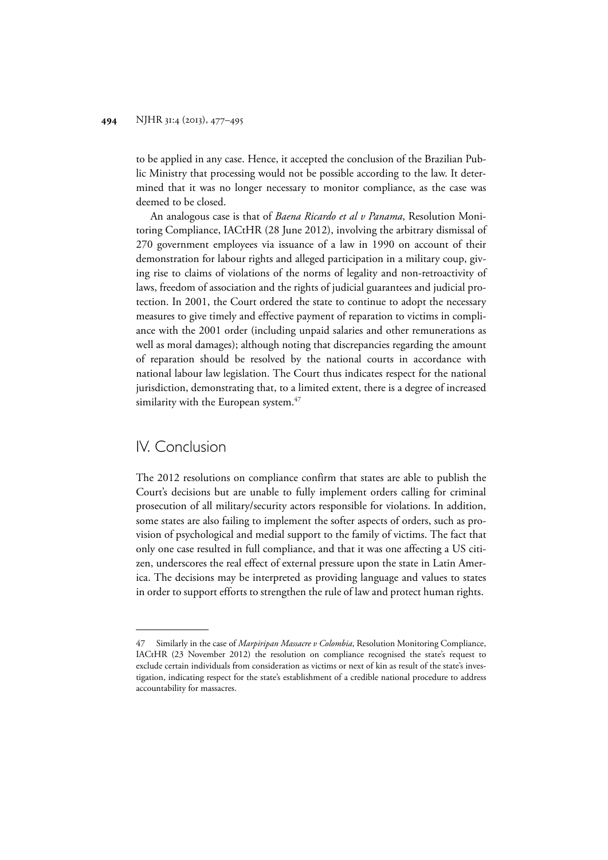to be applied in any case. Hence, it accepted the conclusion of the Brazilian Public Ministry that processing would not be possible according to the law. It determined that it was no longer necessary to monitor compliance, as the case was deemed to be closed.

An analogous case is that of *Baena Ricardo et al v Panama*, Resolution Monitoring Compliance, IACtHR (28 June 2012), involving the arbitrary dismissal of 270 government employees via issuance of a law in 1990 on account of their demonstration for labour rights and alleged participation in a military coup, giving rise to claims of violations of the norms of legality and non-retroactivity of laws, freedom of association and the rights of judicial guarantees and judicial protection. In 2001, the Court ordered the state to continue to adopt the necessary measures to give timely and effective payment of reparation to victims in compliance with the 2001 order (including unpaid salaries and other remunerations as well as moral damages); although noting that discrepancies regarding the amount of reparation should be resolved by the national courts in accordance with national labour law legislation. The Court thus indicates respect for the national jurisdiction, demonstrating that, to a limited extent, there is a degree of increased similarity with the European system.<sup>47</sup>

### IV. Conclusion

The 2012 resolutions on compliance confirm that states are able to publish the Court's decisions but are unable to fully implement orders calling for criminal prosecution of all military/security actors responsible for violations. In addition, some states are also failing to implement the softer aspects of orders, such as provision of psychological and medial support to the family of victims. The fact that only one case resulted in full compliance, and that it was one affecting a US citizen, underscores the real effect of external pressure upon the state in Latin America. The decisions may be interpreted as providing language and values to states in order to support efforts to strengthen the rule of law and protect human rights.

<sup>47</sup> Similarly in the case of *Marpiripan Massacre v Colombia*, Resolution Monitoring Compliance, IACtHR (23 November 2012) the resolution on compliance recognised the state's request to exclude certain individuals from consideration as victims or next of kin as result of the state's investigation, indicating respect for the state's establishment of a credible national procedure to address accountability for massacres.